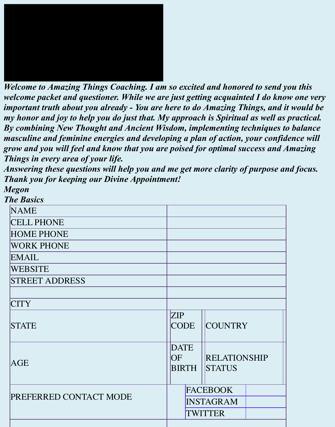

*Welcome to Amazing Things Coaching. I am so excited and honored to send you this welcome packet and questioner. While we are just getting acquainted I do know one very important truth about you already - You are here to do Amazing Things, and it would be my honor and joy to help you do just that. My approach is Spiritual as well as practical. By combining New Thought and Ancient Wisdom, implementing techniques to balance masculine and feminine energies and developing a plan of action, your confidence will grow and you will feel and know that you are poised for optimal success and Amazing Things in every area of your life.*

*Answering these questions will help you and me get more clarity of purpose and focus. Thank you for keeping our Divine Appointment!*

*Megon The Basics*

**NAME** CELL PHONE HOME PHONE WORK PHONE EMAIL WEBSITE STREET ADDRESS CITY **STATE** ZIP **CODE COUNTRY** AGE **DATE OF** BIRTH RELATIONSHIP **STATUS** PREFERRED CONTACT MODE FACEBOOK INSTAGRAM TWITTER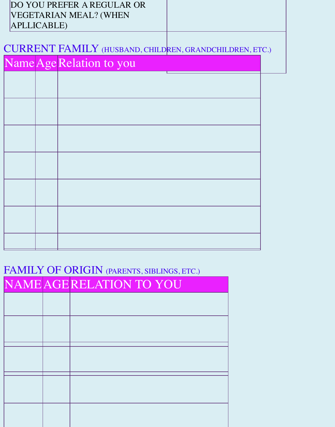| <b>APLLICABLE)</b> | DO YOU PREFER A REGULAR OR<br>VEGETARIAN MEAL? (WHEN           |  |
|--------------------|----------------------------------------------------------------|--|
|                    | <b>CURRENT FAMILY</b> (HUSBAND, CHILDREN, GRANDCHILDREN, ETC.) |  |
|                    | Name Age Relation to you                                       |  |
|                    |                                                                |  |
|                    |                                                                |  |
|                    |                                                                |  |
|                    |                                                                |  |
|                    |                                                                |  |
|                    |                                                                |  |
|                    |                                                                |  |
|                    |                                                                |  |
|                    |                                                                |  |
|                    |                                                                |  |
|                    |                                                                |  |

# FAMILY OF ORIGIN (PARENTS, SIBLINGS, ETC.)

| NAME AGE RELATION TO YOU |
|--------------------------|
|                          |
|                          |
|                          |
|                          |
|                          |
|                          |
|                          |
|                          |
|                          |
|                          |
|                          |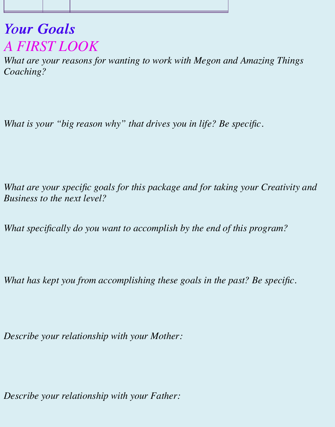## *Your Goals Your Goals A FIRST LOOK*

*What are your reasons for wanting to work with Megon and Amazing Things Coaching?*

*What is your "big reason why" that drives you in life? Be specific.*

*What are your specific goals for this package and for taking your Creativity and Business to the next level?*

*What specifically do you want to accomplish by the end of this program?*

*What has kept you from accomplishing these goals in the past? Be specific.*

*Describe your relationship with your Mother:*

*Describe your relationship with your Father:*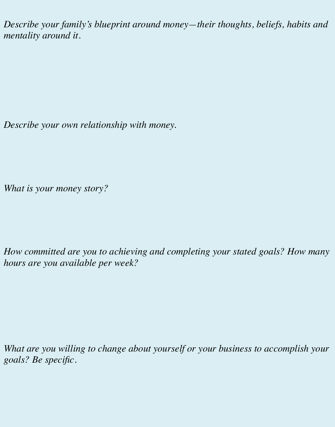*Describe your family's blueprint around money—their thoughts, beliefs, habits and mentality around it.*

*Describe your own relationship with money.*

*What is your money story?*

*How committed are you to achieving and completing your stated goals? How many hours are you available per week?*

*What are you willing to change about yourself or your business to accomplish your goals? Be specific.*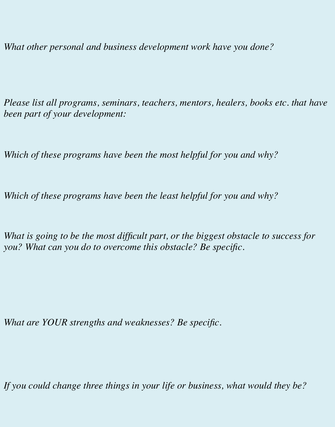*What other personal and business development work have you done?*

*Please list all programs, seminars, teachers, mentors, healers, books etc. that have been part of your development:*

*Which of these programs have been the most helpful for you and why?*

*Which of these programs have been the least helpful for you and why?*

*What is going to be the most difficult part, or the biggest obstacle to success for you? What can you do to overcome this obstacle? Be specific.*

*What are YOUR strengths and weaknesses? Be specific.*

*If you could change three things in your life or business, what would they be?*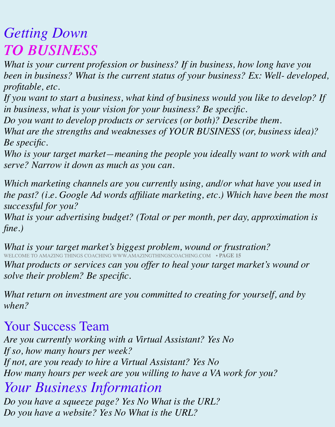# *Getting Down TO BUSINESS TO BUSINESS*

*What is your current profession or business? If in business, how long have you been in business? What is the current status of your business? Ex: Well- developed, profitable, etc.*

*If you want to start a business, what kind of business would you like to develop? If in business, what is your vision for your business? Be specific.* 

*Do you want to develop products or services (or both)? Describe them. What are the strengths and weaknesses of YOUR BUSINESS (or, business idea)?*

*Be specific.*

*Who is your target market—meaning the people you ideally want to work with and serve? Narrow it down as much as you can.*

*Which marketing channels are you currently using, and/or what have you used in the past? (i.e. Google Ad words affiliate marketing, etc.) Which have been the most successful for you?*

*What is your advertising budget? (Total or per month, per day, approximation is fine.)*

*What is your target market's biggest problem, wound or frustration?* WELCOME TO AMAZING THINGS COACHING WWW.AMAZINGTHINGSCOACHING.COM • **PAGE 15** *What products or services can you offer to heal your target market's wound or solve their problem? Be specific.*

*What return on investment are you committed to creating for yourself, and by when?*

### Your Success Team

*Are you currently working with a Virtual Assistant? Yes No If so, how many hours per week? If not, are you ready to hire a Virtual Assistant? Yes No How many hours per week are you willing to have a VA work for you?*

#### *Your Business Information Do you have a squeeze page? Yes No What is the URL?*

*Do you have a website? Yes No What is the URL?*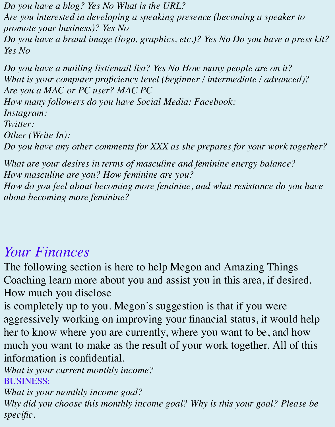*Do you have a blog? Yes No What is the URL? Are you interested in developing a speaking presence (becoming a speaker to promote your business)? Yes No Do you have a brand image (logo, graphics, etc.)? Yes No Do you have a press kit? Yes No*

*Do you have a mailing list/email list? Yes No How many people are on it? What is your computer proficiency level (beginner / intermediate / advanced)? Are you a MAC or PC user? MAC PC How many followers do you have Social Media: Facebook: Instagram: Twitter: Other (Write In): Do you have any other comments for XXX as she prepares for your work together?*

*What are your desires in terms of masculine and feminine energy balance? How masculine are you? How feminine are you? How do you feel about becoming more feminine, and what resistance do you have about becoming more feminine?*

# *Your Finances*

The following section is here to help Megon and Amazing Things Coaching learn more about you and assist you in this area, if desired. How much you disclose

is completely up to you. Megon's suggestion is that if you were aggressively working on improving your financial status, it would help her to know where you are currently, where you want to be, and how much you want to make as the result of your work together. All of this information is confidential.

*What is your current monthly income?* BUSINESS:

*What is your monthly income goal? Why did you choose this monthly income goal? Why is this your goal? Please be specific.*